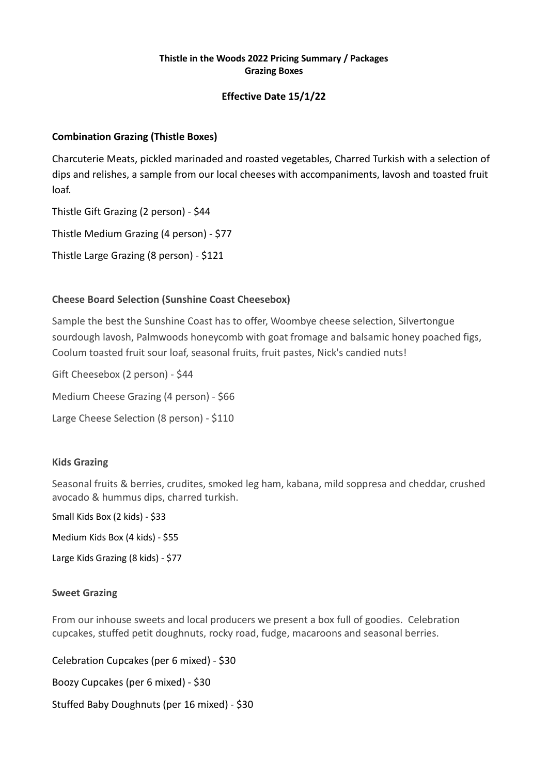#### **Thistle in the Woods 2022 Pricing Summary / Packages Grazing Boxes**

## **Effective Date 15/1/22**

## **Combination Grazing (Thistle Boxes)**

Charcuterie Meats, pickled marinaded and roasted vegetables, Charred Turkish with a selection of dips and relishes, a sample from our local cheeses with accompaniments, lavosh and toasted fruit loaf.

Thistle Gift Grazing (2 person) - \$44

Thistle Medium Grazing (4 person) - \$77

Thistle Large Grazing (8 person) - \$121

### **Cheese Board Selection (Sunshine Coast Cheesebox)**

Sample the best the Sunshine Coast has to offer, Woombye cheese selection, Silvertongue sourdough lavosh, Palmwoods honeycomb with goat fromage and balsamic honey poached figs, Coolum toasted fruit sour loaf, seasonal fruits, fruit pastes, Nick's candied nuts!

Gift Cheesebox (2 person) - \$44 Medium Cheese Grazing (4 person) - \$66 Large Cheese Selection (8 person) - \$110

# **Kids Grazing**

Seasonal fruits & berries, crudites, smoked leg ham, kabana, mild soppresa and cheddar, crushed avocado & hummus dips, charred turkish.

Small Kids Box (2 kids) - \$33

Medium Kids Box (4 kids) - \$55

Large Kids Grazing (8 kids) - \$77

#### **Sweet Grazing**

From our inhouse sweets and local producers we present a box full of goodies. Celebration cupcakes, stuffed petit doughnuts, rocky road, fudge, macaroons and seasonal berries.

Celebration Cupcakes (per 6 mixed) - \$30

Boozy Cupcakes (per 6 mixed) - \$30

Stuffed Baby Doughnuts (per 16 mixed) - \$30